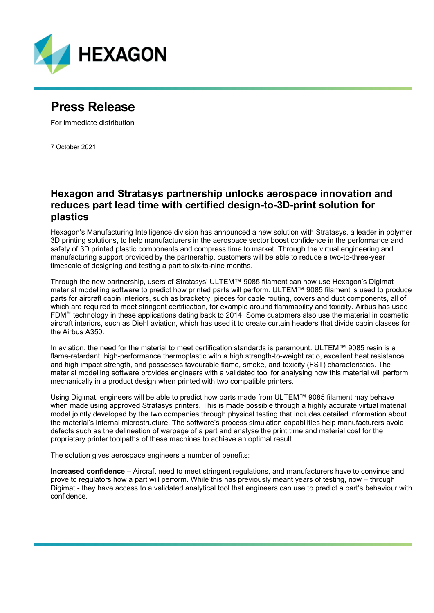

# **Press Release**

For immediate distribution

7 October 2021

## **Hexagon and Stratasys partnership unlocks aerospace innovation and reduces part lead time with certified design-to-3D-print solution for plastics**

Hexagon's Manufacturing Intelligence division has announced a new solution with Stratasys, a leader in polymer 3D printing solutions, to help manufacturers in the aerospace sector boost confidence in the performance and safety of 3D printed plastic components and compress time to market. Through the virtual engineering and manufacturing support provided by the partnership, customers will be able to reduce a two-to-three-year timescale of designing and testing a part to six-to-nine months.

Through the new partnership, users of Stratasys' ULTEM™ 9085 filament can now use Hexagon's Digimat material modelling software to predict how printed parts will perform. ULTEM™ 9085 filament is used to produce parts for aircraft cabin interiors, such as bracketry, pieces for cable routing, covers and duct components, all of which are required to meet stringent certification, for example around flammability and toxicity. Airbus has used FDM™ technology in these applications dating back to 2014. Some customers also use the material in cosmetic aircraft interiors, such as Diehl aviation, which has used it to create curtain headers that divide cabin classes for the Airbus A350.

In aviation, the need for the material to meet certification standards is paramount. ULTEM™ 9085 resin is a flame-retardant, high-performance thermoplastic with a high strength-to-weight ratio, excellent heat resistance and high impact strength, and possesses favourable flame, smoke, and toxicity (FST) characteristics. The material modelling software provides engineers with a validated tool for analysing how this material will perform mechanically in a product design when printed with two compatible printers.

Using Digimat, engineers will be able to predict how parts made from ULTEM™ 9085 filament may behave when made using approved Stratasys printers. This is made possible through a highly accurate virtual material model jointly developed by the two companies through physical testing that includes detailed information about the material's internal microstructure. The software's process simulation capabilities help manufacturers avoid defects such as the delineation of warpage of a part and analyse the print time and material cost for the proprietary printer toolpaths of these machines to achieve an optimal result.

The solution gives aerospace engineers a number of benefits:

**Increased confidence** – Aircraft need to meet stringent regulations, and manufacturers have to convince and prove to regulators how a part will perform. While this has previously meant years of testing, now – through Digimat - they have access to a validated analytical tool that engineers can use to predict a part's behaviour with confidence.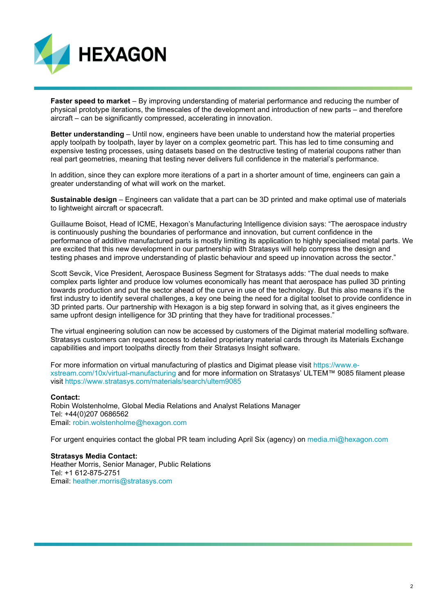

**Faster speed to market** – By improving understanding of material performance and reducing the number of physical prototype iterations, the timescales of the development and introduction of new parts – and therefore aircraft – can be significantly compressed, accelerating in innovation.

**Better understanding** – Until now, engineers have been unable to understand how the material properties apply toolpath by toolpath, layer by layer on a complex geometric part. This has led to time consuming and expensive testing processes, using datasets based on the destructive testing of material coupons rather than real part geometries, meaning that testing never delivers full confidence in the material's performance.

In addition, since they can explore more iterations of a part in a shorter amount of time, engineers can gain a greater understanding of what will work on the market.

**Sustainable design** – Engineers can validate that a part can be 3D printed and make optimal use of materials to lightweight aircraft or spacecraft.

Guillaume Boisot, Head of ICME, Hexagon's Manufacturing Intelligence division says: "The aerospace industry is continuously pushing the boundaries of performance and innovation, but current confidence in the performance of additive manufactured parts is mostly limiting its application to highly specialised metal parts. We are excited that this new development in our partnership with Stratasys will help compress the design and testing phases and improve understanding of plastic behaviour and speed up innovation across the sector."

Scott Sevcik, Vice President, Aerospace Business Segment for Stratasys adds: "The dual needs to make complex parts lighter and produce low volumes economically has meant that aerospace has pulled 3D printing towards production and put the sector ahead of the curve in use of the technology. But this also means it's the first industry to identify several challenges, a key one being the need for a digital toolset to provide confidence in 3D printed parts. Our partnership with Hexagon is a big step forward in solving that, as it gives engineers the same upfront design intelligence for 3D printing that they have for traditional processes."

The virtual engineering solution can now be accessed by customers of the Digimat material modelling software. Stratasys customers can request access to detailed proprietary material cards through its Materials Exchange capabilities and import toolpaths directly from their Stratasys Insight software.

For more information on virtual manufacturing of plastics and Digimat please visit [https://www.e](https://www.e-xstream.com/10x/virtual-manufacturing)[xstream.com/10x/virtual-manufacturing](https://www.e-xstream.com/10x/virtual-manufacturing) and for more information on Stratasys' ULTEM™ 9085 filament please visit<https://www.stratasys.com/materials/search/ultem9085>

#### **Contact:**

Robin Wolstenholme, Global Media Relations and Analyst Relations Manager Tel: +44(0)207 0686562 Email: robin.wolstenholme@hexagon.com

For urgent enquiries contact the global PR team including April Six (agency) on [media.mi@hexagon.com](mailto:media.mi@hexagon.com)

### **Stratasys Media Contact:**

Heather Morris, Senior Manager, Public Relations Tel: +1 612-875-2751 Email: [heather.morris@stratasys.com](mailto:heather.morris@stratasys.com)